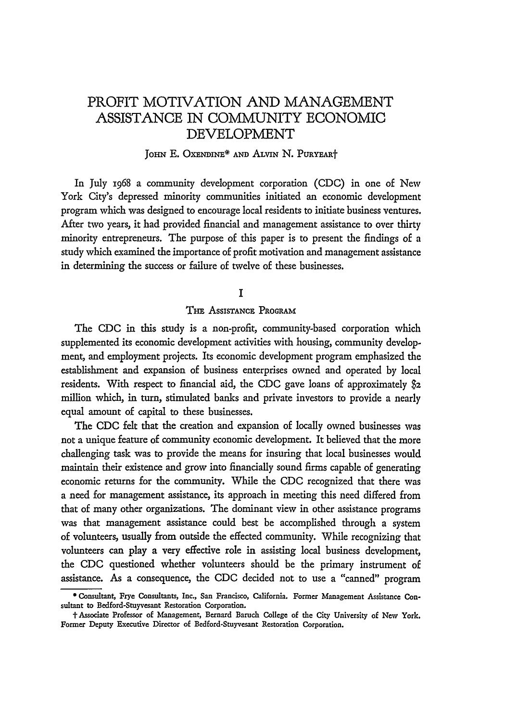# PROFIT MOTIVATION **AND** MANAGEMENT ASSISTANCE IN COMMUNITY ECONOMIC DEVELOPMENT

### **JOHN E. OXENDINE\* AND ALVIN N. PURYEART**

In July 1968 a community development corporation (CDC) in one of New York City's depressed minority communities initiated an economic development program which was designed to encourage local residents to initiate business ventures. After two years, it had provided financial and management assistance to over thirty minority entrepreneurs. The purpose of this paper is to present the findings of a study which examined the importance of profit motivation and management assistance in determining the success or failure of twelve of these businesses.

# **I**

# THE AssIsTANcE PROGRAM

The CDC in this study is a non-profit, community-based corporation which supplemented its economic development activities with housing, community development, and employment projects. Its economic development program emphasized the establishment and expansion of business enterprises owned and operated by local residents. With respect to financial aid, the CDC gave loans of approximately \$2 million which, in turn, stimulated banks and private investors to provide a nearly equal amount of capital to these businesses.

The CDC felt that the creation and expansion of locally owned businesses was not a unique feature of community economic development. It believed that the more challenging task was to provide the means for insuring that local businesses would maintain their existence and grow into financially sound firms capable of generating economic returns for the community. While the CDC recognized that there was a need for management assistance, its approach in meeting this need differed from that of many other organizations. The dominant view in other assistance programs was that management assistance could best be accomplished through a system of volunteers, usually from outside the effected community. While recognizing that volunteers can play a very effective role in assisting local business development, the CDC questioned whether volunteers should be the primary instrument of assistance. As a consequence, the CDC decided not to use a "canned" program

**<sup>0</sup>** Consultant, **Frye Consultants, Inc., San Francisco, California. Former Management** Assistance Consultant to Bedford-Stuyvesant Restoration Corporation.

**<sup>1-</sup>Associate Professor** of Management, **Bernard Baruch** College **of the** City University of New **York. Former** Deputy **Executive Director of Bedford-Stuyvesant Restoration Corporation.**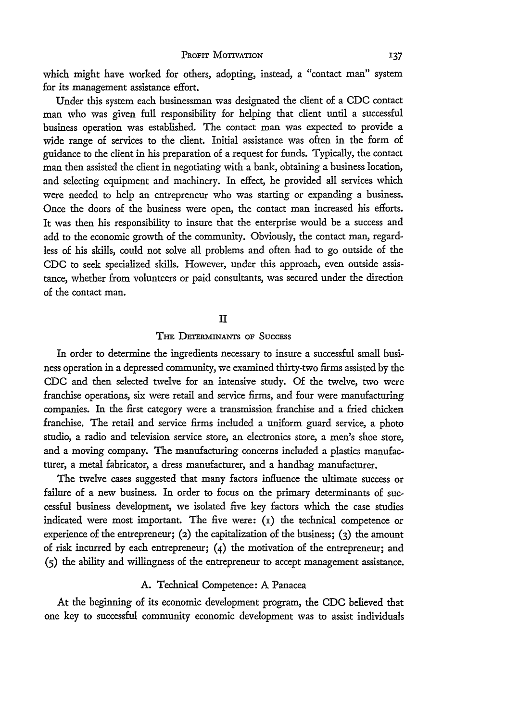which might have worked for others, adopting, instead, a "contact man" system for its management assistance effort.

Under this system each businessman was designated the client of a **CDC** contact man who was given full responsibility for helping that client until a successful business operation was established. The contact man was expected to provide a wide range of services to the client. Initial assistance was often in the form of guidance to the client in his preparation of a request for funds. Typically, the contact man then assisted the client in negotiating with a bank, obtaining a business location, and selecting equipment and machinery. In effect, he provided all services which were needed to help an entrepreneur who was starting or expanding a business. Once the doors of the business were open, the contact man increased his efforts. It was then his responsibility to insure that the enterprise would be a success and add to the economic growth of the community. Obviously, the contact man, regardless of his skills, could not solve all problems and often had to go outside of the CDC to seek specialized skills. However, under this approach, even outside assistance, whether from volunteers or paid consultants, was secured under the direction of the contact man.

# II

# THE DETERMINANTS OF SUCCESS

In order to determine the ingredients necessary to insure a successful small business operation in a depressed community, we examined thirty-two firms assisted by the CDC and then selected twelve for an intensive study. Of the twelve, two were franchise operations, six were retail and service firms, and four were manufacturing companies. In the first category were a transmission franchise and a fried chicken franchise. The retail and service firms included a uniform guard service, a photo studio, a radio and television service store, an electronics store, a men's shoe store, and a moving company. The manufacturing concerns included a plastics manufacturer, a metal fabricator, a dress manufacturer, and a handbag manufacturer.

The twelve cases suggested that many factors influence the ultimate success or failure of a new business. In order to focus on the primary determinants of successful business development, we isolated five key factors which the case studies indicated were most important. The five were:  $(i)$  the technical competence or experience of the entrepreneur; (2) the capitalization of the business; **(3)** the amount of risk incurred by each entrepreneur; (4) the motivation of the entrepreneur; and **(5)** the ability and willingness of the entrepreneur to accept management assistance.

# A. Technical Competence: **A** Panacea

At the beginning of its economic development program, the CDC believed that one key to successful community economic development was to assist individuals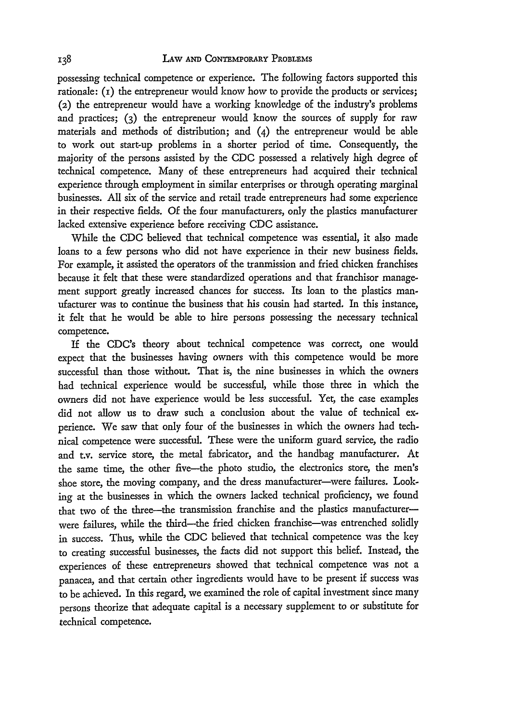possessing technical competence or experience. The following factors supported this rationale:  $(i)$  the entrepreneur would know how to provide the products or services; (2) the entrepreneur would have a working knowledge of the industry's problems and practices; (3) the entrepreneur would know the sources of supply for raw materials and methods of distribution; and  $(4)$  the entrepreneur would be able to work out start-up problems in a shorter period of time. Consequently, the majority of the persons assisted by the CDC possessed a relatively high degree of technical competence. Many of these entrepreneurs had acquired their technical experience through employment in similar enterprises or through operating marginal businesses. All six of the service and retail trade entrepreneurs had some experience in their respective fields. Of the four manufacturers, only the plastics manufacturer lacked extensive experience before receiving **CDC** assistance.

While the **CDC** believed that technical competence was essential, it also made loans to a few persons who did not have experience in their new business fields. For example, it assisted the operators of the tranmission and fried chicken franchises because it felt that these were standardized operations and that franchisor management support greatly increased chances for success. Its loan to the plastics manufacturer was to continue the business that his cousin had started. In this instance, it felt that he would be able to hire persons possessing the necessary technical competence.

If the CDC's theory about technical competence was correct, one would expect that the businesses having owners with this competence would be more successful than those without. That is, the nine businesses in which the owners had technical experience would be successful, while those three in which the owners did not have experience would be less successful. Yet, the case examples did not allow us to draw such a conclusion about the value of technical experience. We saw that only four of the businesses in which the owners had technical competence were successful. These were the uniform guard service, the radio and t.v. service store, the metal fabricator, and the handbag manufacturer. At the same time, the other five-the photo studio, the electronics store, the men's shoe store, the moving company, and the dress manufacturer-were failures. Looking at the businesses in which the owners lacked technical proficiency, we found that two of the three-the transmission franchise and the plastics manufacturerwere failures, while the third--the fried chicken franchise-was entrenched solidly in success. Thus, while the **CDC** believed that technical competence was the key to creating successful businesses, the facts did not support this belief. Instead, the experiences of these entrepreneurs showed that technical competence was not a panacea, and that certain other ingredients would have to be present if success was to be achieved. In this regard, we examined the role of capital investment since many persons theorize that adequate capital is a necessary supplement to or substitute for technical competence.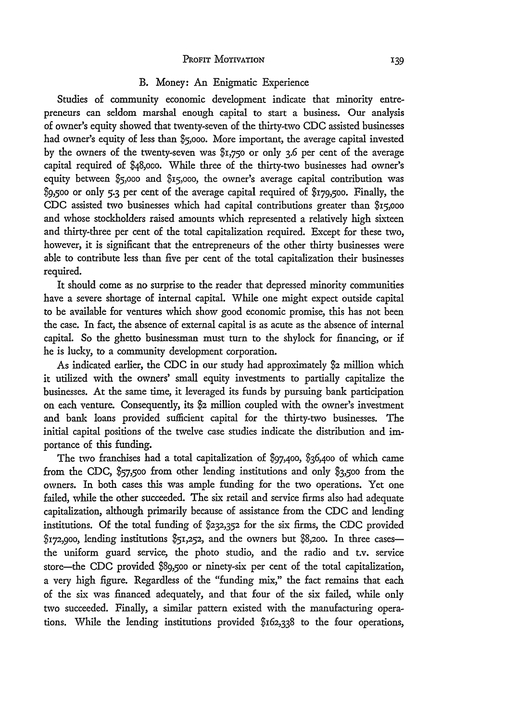#### PROFIT MOTIVATION

#### B. Money: An Enigmatic Experience

Studies of community economic development indicate that minority entrepreneurs can seldom marshal enough capital to start a business. Our analysis of owner's equity showed that twenty-seven of the thirty-two CDC assisted businesses had owner's equity of less than **\$5,000.** More important, the average capital invested by the owners of the twenty-seven was \$i,75o or only 3.6 per cent of the average capital required of \$48,o0o. While three of the thirty-two businesses had owner's equity between \$5,ooo and \$i5,ooo, the owner's average capital contribution was \$9,5oo or only 5.3 per cent of the average capital required of \$i79,5oo. Finally, the CDC assisted two businesses which had capital contributions greater than \$i5,ooo and whose stockholders raised amounts which represented a relatively high sixteen and thirty-three per cent of the total capitalization required. Except for these two, however, it is significant that the entrepreneurs of the other thirty businesses were able to contribute less than five per cent of the total capitalization their businesses required.

It should come as no surprise to the reader that depressed minority communities have a severe shortage of internal capital. While one might expect outside capital to be available for ventures which show good economic promise, this has not been the case. In fact, the absence of external capital is as acute as the absence of internal capital. So the ghetto businessman must turn to the shylock for financing, or if he is lucky, to a community development corporation.

As indicated earlier, the CDC in our study had approximately \$2 million which it utilized with the owners' small equity investments to partially capitalize the businesses. At the same time, it leveraged its funds by pursuing bank participation on each venture. Consequently, its **\$2** million coupled with the owner's investment and bank loans provided sufficient capital for the thirty-two businesses. The initial capital positions of the twelve case studies indicate the distribution and importance of this funding.

The two franchises had a total capitalization of \$97,400, \$36,4oo of which came from the **CDC,** \$57,5o0 from other lending institutions and only \$3,5oo from the owners. In both cases this was ample funding for the two operations. Yet one failed, while the other succeeded. The six retail and service firms also had adequate capitalization, although primarily because of assistance from the CDC and lending institutions. Of the total funding of **\$232,352** for the six firms, the CDC provided  $$172,900$ , lending institutions  $$51,252$ , and the owners but \$8,200. In three casesthe uniform guard service, the photo studio, and the radio and t.v. service store-the CDC provided \$89,5oo or ninety-six per cent of the total capitalization, a very high figure. Regardless of the "funding mix," the fact remains that each of the six was financed adequately, and that four of the six failed, while only two succeeded. Finally, a similar pattern existed with the manufacturing operations. While the lending institutions provided \$162,338 to the four operations,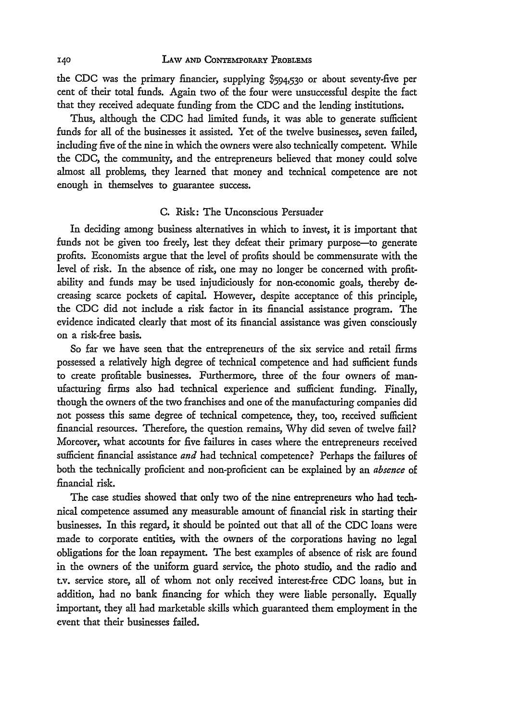the CDC was the primary financier, supplying **\$594,530** or about seventy-five per cent of their total funds. Again two of the four were unsuccessful despite the fact that they received adequate funding from the CDC and the lending institutions.

Thus, although the CDC had limited funds, it was able to generate sufficient funds for all of the businesses it assisted. Yet of the twelve businesses, seven failed, including five of the nine in which the owners were also technically competent. While the CDC, the community, and the entrepreneurs believed that money could solve almost all problems, they learned that money and technical competence are not enough in themselves to guarantee success.

#### C. Risk: The Unconscious Persuader

In deciding among business alternatives in which to invest, it is important that funds not be given too freely, lest they defeat their primary purpose-to generate profits. Economists argue that the level of profits should be commensurate with the level of risk. In the absence of risk, one may no longer be concerned with profitability and funds may be used injudiciously for non-economic goals, thereby decreasing scarce pockets of capital. However, despite acceptance of this principle, the CDC did not include a risk factor in its financial assistance program. The evidence indicated clearly that most of its financial assistance was given consciously on a risk-free basis.

So far we have seen that the entrepreneurs of the six service and retail firms possessed a relatively high degree of technical competence and had sufficient funds to create profitable businesses. Furthermore, three of the four owners of manufacturing firms also had technical experience and sufficient funding. Finally, though the owners of the two franchises and one of the manufacturing companies did not possess this same degree of technical competence, they, too, received sufficient financial resources. Therefore, the question remains, Why did seven of twelve fail? Moreover, what accounts for five failures in cases where the entrepreneurs received sufficient financial assistance *and* had technical competence? Perhaps the failures of both the technically proficient and non-proficient can be explained by an *absence* of financial risk.

The case studies showed that only two of the nine entrepreneurs who had technical competence assumed any measurable amount of financial risk in starting their businesses. In this regard, it should be pointed out that all of the CDC loans were made to corporate entities, with the owners of the corporations having no legal obligations for the loan repayment. The best examples of absence of risk are found in the owners of the uniform guard service, the photo studio, and the radio and t.v. service store, all of whom not only received interest-free CDC loans, but in addition, had no bank financing for which they were liable personally. Equally important, they all had marketable skills which guaranteed them employment in the event that their businesses failed.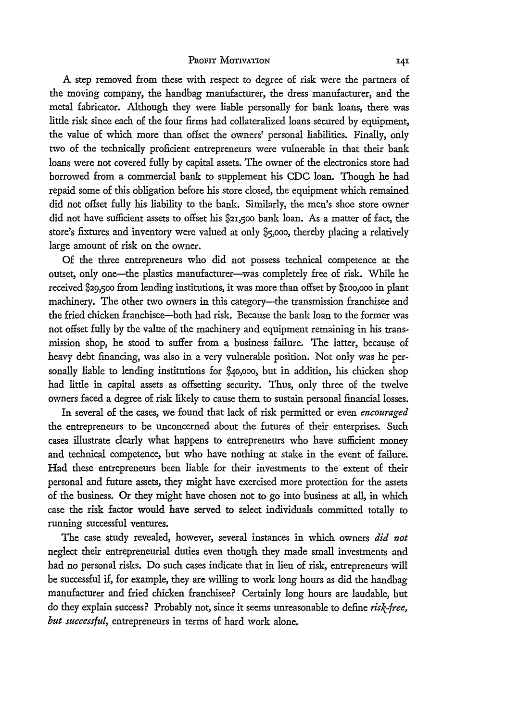#### PROFIT MOTIVATION

**A** step removed from these with respect to degree of risk were the partners of the moving company, the handbag manufacturer, the dress manufacturer, and the metal fabricator. Although they were liable personally for bank loans, there was little risk since each of the four firms had collateralized loans secured by equipment, the value of which more than offset the owners' personal liabilities. Finally, only two of the technically proficient entrepreneurs were vulnerable in that their bank loans were not covered fully by capital assets. The owner of the electronics store had borrowed from a commercial bank to supplement his **CDC** loan. Though he had repaid some of this obligation before his store closed, the equipment which remained did not offset fully his liability to the bank. Similarly, the men's shoe store owner did not have sufficient assets to offset his \$21,5oo bank loan. As a matter of fact, the store's fixtures and inventory were valued at only **\$5,000,** thereby placing a relatively large amount of risk on the owner.

**Of** the three entrepreneurs who did not possess technical competence at the outset, only one-the plastics manufacturer-was completely free of risk. While he received \$29,500 from lending institutions, it was more than offset by \$100,000 in plant machinery. The other two owners in this category-the transmission franchisee and the fried chicken franchisee-both had risk. Because the bank loan to the former was not offset fully by the value of the machinery and equipment remaining in his transmission shop, he stood to suffer from a business failure. The latter, because of heavy debt financing, was also in a very vulnerable position. Not only was he personally liable to lending institutions for \$40,000, but in addition, his chicken shop had little in capital assets as offsetting security. Thus, only three of the twelve owners faced a degree of risk likely to cause them to sustain personal financial losses.

In several of the cases, we found that lack of risk permitted or even *encouraged* the entrepreneurs to be unconcerned about the futures of their enterprises. Such cases illustrate clearly what happens to entrepreneurs who have sufficient money and technical competence, but who have nothing at stake in the event of failure. Had these entrepreneurs been liable for their investments to the extent of their personal and future assets, they might have exercised more protection for the assets of the business. Or they might have chosen not to go into business at all, in which case the risk factor would have served to select individuals committed totally to running successful ventures.

The case study revealed, however, several instances in which owners *did not* neglect their entrepreneurial duties even though they made small investments and had no personal risks. Do such cases indicate that in lieu of risk, entrepreneurs will be successful if, for example, they are willing to work long hours as did the handbag manufacturer and fried chicken franchisee? Certainly long hours are laudable, but do they explain success? Probably not, since it seems unreasonable to define *risk-free, but successful,* entrepreneurs in terms of hard work alone.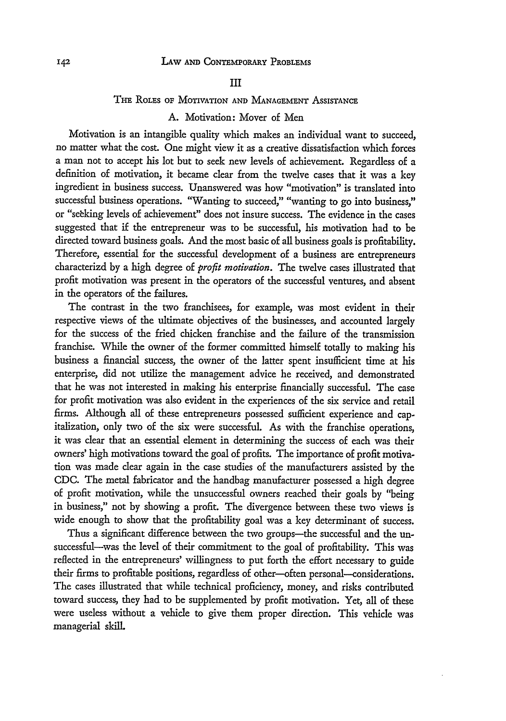#### III

#### **THE ROLES OF MOTIVATION AND MANAGEMENT ASSISTANCE**

# A. Motivation: Mover of Men

Motivation is an intangible quality which makes an individual want to succeed, no matter what the cost. One might view it as a creative dissatisfaction which forces a man not to accept his lot but to seek new levels of achievement. Regardless of a definition of motivation, it became clear from the twelve cases that it was a key ingredient in business success. Unanswered was how "motivation" is translated into successful business operations. "Wanting to succeed," "wanting to go into business," or "sebking levels of achievement" does not insure success. The evidence in the cases suggested that if the entrepreneur was to be successful, his motivation had to be directed toward business goals. And the most basic of all business goals is profitability. Therefore, essential for the successful development of a business are entrepreneurs characterizd by a high degree of *profit motivation.* The twelve cases illustrated that profit motivation was present in the operators of the successful ventures, and absent in the operators of the failures.

The contrast in the two franchisees, for example, was most evident in their respective views of the ultimate objectives of the businesses, and accounted largely for the success of the fried chicken franchise and the failure of the transmission franchise. While the owner of the former committed himself totally to making his business a financial success, the owner of the latter spent insufficient time at his enterprise, did not utilize the management advice he received, and demonstrated that he was not interested in making his enterprise financially successful. The case for profit motivation was also evident in the experiences of the six service and retail firms. Although all of these entrepreneurs possessed sufficient experience and capitalization, only two of the six were successful. As with the franchise operations, it was clear that an essential element in determining the success of each was their owners' high motivations toward the goal of profits. The importance of profit motivation was made clear again in the case studies of the manufacturers assisted by the CDC. The metal fabricator and the handbag manufacturer possessed a high degree of profit motivation, while the unsuccessful owners reached their goals by "being in business," not by showing a profit. The divergence between these two views is wide enough to show that the profitability goal was a key determinant of success.

Thus a significant difference between the two groups-the successful and the unsuccessful-was the level of their commitment to the goal of profitability. This was reflected in the entrepreneurs' willingness to put forth the effort necessary to guide their firms to profitable positions, regardless of other-often personal-considerations. The cases illustrated that while technical proficiency, money, and risks contributed toward success, they had to be supplemented by profit motivation. Yet, all of these were useless without a vehicle to give them proper direction. This vehicle was managerial skill.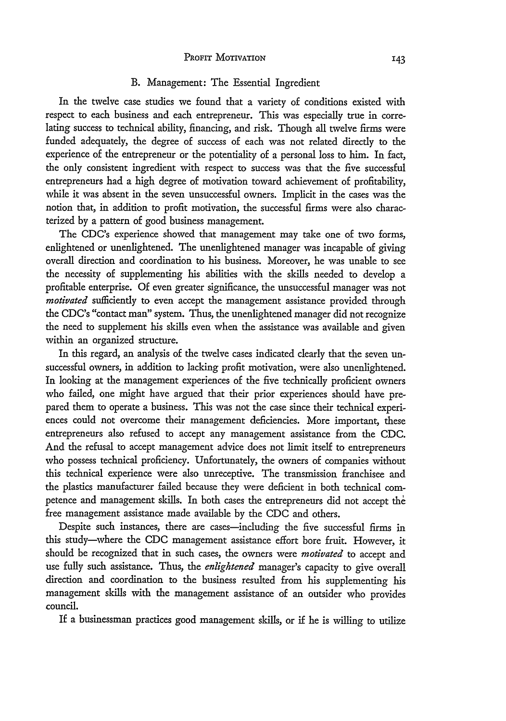## PROFIT MOTIVATION

#### B. Management: The Essential Ingredient

In the twelve case studies we found that a variety of conditions existed with respect to each business and each entrepreneur. This was especially true in correlating success to technical ability, financing, and risk. Though all twelve firms were funded adequately, the degree of success of each was not related directly to the experience of the entrepreneur or the potentiality of a personal loss to him. In fact, the only consistent ingredient with respect to success was that the five successful entrepreneurs had a high degree of motivation toward achievement of profitability, while it was absent in the seven unsuccessful owners. Implicit in the cases was the notion that, in addition to profit motivation, the successful firms were also characterized by a pattern of good business management.

The CDC's experience showed that management may take one of two forms, enlightened or unenlightened. The unenlightened manager was incapable of giving overall direction and coordination to his business. Moreover, he was unable to see the necessity of supplementing his abilities with the skills needed to develop a profitable enterprise. Of even greater significance, the unsuccessful manager was not *motivated* sufficiently to even accept the management assistance provided through the CDC's "contact man" system. Thus, the unenlightened manager did not recognize the need to supplement his skills even when the assistance was available and given within an organized structure.

In this regard, an analysis of the twelve cases indicated clearly that the seven unsuccessful owners, in addition to lacking profit motivation, were also unenlightened. In looking at the management experiences of the five technically proficient owners who failed, one might have argued that their prior experiences should have prepared them to operate a business. This was not the case since their technical experiences could not overcome their management deficiencies. More important, these entrepreneurs also refused to accept any management assistance from the CDC. And the refusal to accept management advice does not limit itself to entrepreneurs who possess technical proficiency. Unfortunately, the owners of companies without this technical experience were also unreceptive. The transmission franchisee and the plastics manufacturer failed because they were deficient in both technical competence and management skills. In both cases the entrepreneurs did not accept the free management assistance made available by the CDC and others.

Despite such instances, there are cases-including the five successful firms in this study-where the CDC management assistance effort bore fruit. However, it should be recognized that in such cases, the owners were *motivated* to accept and use fully such assistance. Thus, the *enlightened* manager's capacity to give overall direction and coordination to the business resulted from his supplementing his management skills with the management assistance of an outsider who provides council.

If a businessman practices good management skills, or if he is willing to utilize